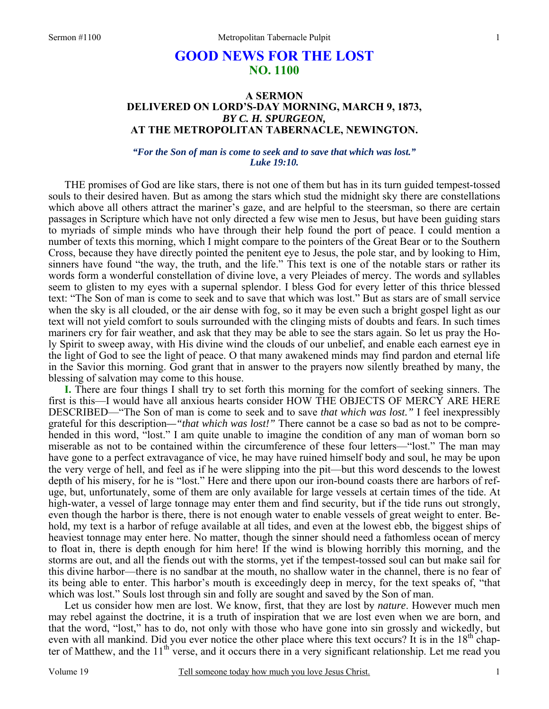# **GOOD NEWS FOR THE LOST NO. 1100**

## **A SERMON DELIVERED ON LORD'S-DAY MORNING, MARCH 9, 1873,**  *BY C. H. SPURGEON,*  **AT THE METROPOLITAN TABERNACLE, NEWINGTON.**

*"For the Son of man is come to seek and to save that which was lost." Luke 19:10.* 

THE promises of God are like stars, there is not one of them but has in its turn guided tempest-tossed souls to their desired haven. But as among the stars which stud the midnight sky there are constellations which above all others attract the mariner's gaze, and are helpful to the steersman, so there are certain passages in Scripture which have not only directed a few wise men to Jesus, but have been guiding stars to myriads of simple minds who have through their help found the port of peace. I could mention a number of texts this morning, which I might compare to the pointers of the Great Bear or to the Southern Cross, because they have directly pointed the penitent eye to Jesus, the pole star, and by looking to Him, sinners have found "the way, the truth, and the life." This text is one of the notable stars or rather its words form a wonderful constellation of divine love, a very Pleiades of mercy. The words and syllables seem to glisten to my eyes with a supernal splendor. I bless God for every letter of this thrice blessed text: "The Son of man is come to seek and to save that which was lost." But as stars are of small service when the sky is all clouded, or the air dense with fog, so it may be even such a bright gospel light as our text will not yield comfort to souls surrounded with the clinging mists of doubts and fears. In such times mariners cry for fair weather, and ask that they may be able to see the stars again. So let us pray the Holy Spirit to sweep away, with His divine wind the clouds of our unbelief, and enable each earnest eye in the light of God to see the light of peace. O that many awakened minds may find pardon and eternal life in the Savior this morning. God grant that in answer to the prayers now silently breathed by many, the blessing of salvation may come to this house.

**I.** There are four things I shall try to set forth this morning for the comfort of seeking sinners. The first is this—I would have all anxious hearts consider HOW THE OBJECTS OF MERCY ARE HERE DESCRIBED—"The Son of man is come to seek and to save *that which was lost."* I feel inexpressibly grateful for this description*—"that which was lost!"* There cannot be a case so bad as not to be comprehended in this word, "lost." I am quite unable to imagine the condition of any man of woman born so miserable as not to be contained within the circumference of these four letters—"lost." The man may have gone to a perfect extravagance of vice, he may have ruined himself body and soul, he may be upon the very verge of hell, and feel as if he were slipping into the pit—but this word descends to the lowest depth of his misery, for he is "lost." Here and there upon our iron-bound coasts there are harbors of refuge, but, unfortunately, some of them are only available for large vessels at certain times of the tide. At high-water, a vessel of large tonnage may enter them and find security, but if the tide runs out strongly, even though the harbor is there, there is not enough water to enable vessels of great weight to enter. Behold, my text is a harbor of refuge available at all tides, and even at the lowest ebb, the biggest ships of heaviest tonnage may enter here. No matter, though the sinner should need a fathomless ocean of mercy to float in, there is depth enough for him here! If the wind is blowing horribly this morning, and the storms are out, and all the fiends out with the storms, yet if the tempest-tossed soul can but make sail for this divine harbor—there is no sandbar at the mouth, no shallow water in the channel, there is no fear of its being able to enter. This harbor's mouth is exceedingly deep in mercy, for the text speaks of, "that which was lost." Souls lost through sin and folly are sought and saved by the Son of man.

Let us consider how men are lost. We know, first, that they are lost by *nature*. However much men may rebel against the doctrine, it is a truth of inspiration that we are lost even when we are born, and that the word, "lost," has to do, not only with those who have gone into sin grossly and wickedly, but even with all mankind. Did you ever notice the other place where this text occurs? It is in the  $18<sup>th</sup>$  chapter of Matthew, and the  $11<sup>th</sup>$  verse, and it occurs there in a very significant relationship. Let me read you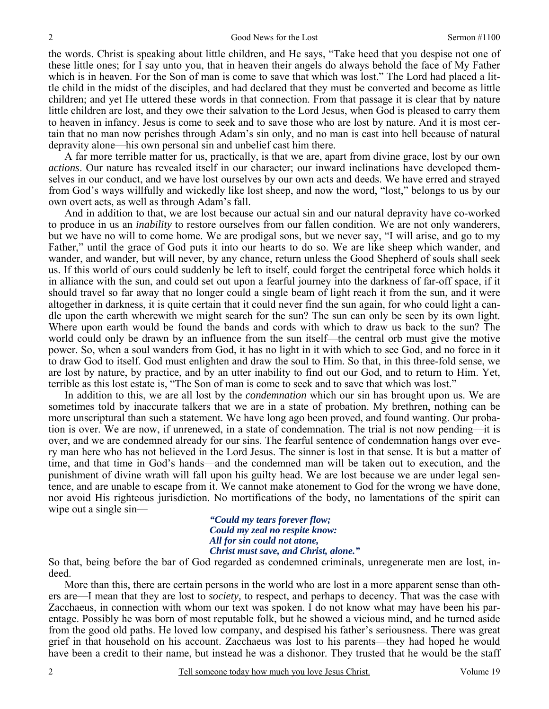the words. Christ is speaking about little children, and He says, "Take heed that you despise not one of these little ones; for I say unto you, that in heaven their angels do always behold the face of My Father which is in heaven. For the Son of man is come to save that which was lost." The Lord had placed a little child in the midst of the disciples, and had declared that they must be converted and become as little children; and yet He uttered these words in that connection. From that passage it is clear that by nature little children are lost, and they owe their salvation to the Lord Jesus, when God is pleased to carry them to heaven in infancy. Jesus is come to seek and to save those who are lost by nature. And it is most certain that no man now perishes through Adam's sin only, and no man is cast into hell because of natural depravity alone—his own personal sin and unbelief cast him there.

A far more terrible matter for us, practically, is that we are, apart from divine grace, lost by our own *actions*. Our nature has revealed itself in our character; our inward inclinations have developed themselves in our conduct, and we have lost ourselves by our own acts and deeds. We have erred and strayed from God's ways willfully and wickedly like lost sheep, and now the word, "lost," belongs to us by our own overt acts, as well as through Adam's fall.

And in addition to that, we are lost because our actual sin and our natural depravity have co-worked to produce in us an *inability* to restore ourselves from our fallen condition. We are not only wanderers, but we have no will to come home. We are prodigal sons, but we never say, "I will arise, and go to my Father," until the grace of God puts it into our hearts to do so. We are like sheep which wander, and wander, and wander, but will never, by any chance, return unless the Good Shepherd of souls shall seek us. If this world of ours could suddenly be left to itself, could forget the centripetal force which holds it in alliance with the sun, and could set out upon a fearful journey into the darkness of far-off space, if it should travel so far away that no longer could a single beam of light reach it from the sun, and it were altogether in darkness, it is quite certain that it could never find the sun again, for who could light a candle upon the earth wherewith we might search for the sun? The sun can only be seen by its own light. Where upon earth would be found the bands and cords with which to draw us back to the sun? The world could only be drawn by an influence from the sun itself—the central orb must give the motive power. So, when a soul wanders from God, it has no light in it with which to see God, and no force in it to draw God to itself. God must enlighten and draw the soul to Him. So that, in this three-fold sense, we are lost by nature, by practice, and by an utter inability to find out our God, and to return to Him. Yet, terrible as this lost estate is, "The Son of man is come to seek and to save that which was lost."

In addition to this, we are all lost by the *condemnation* which our sin has brought upon us. We are sometimes told by inaccurate talkers that we are in a state of probation. My brethren, nothing can be more unscriptural than such a statement. We have long ago been proved, and found wanting. Our probation is over. We are now, if unrenewed, in a state of condemnation. The trial is not now pending—it is over, and we are condemned already for our sins. The fearful sentence of condemnation hangs over every man here who has not believed in the Lord Jesus. The sinner is lost in that sense. It is but a matter of time, and that time in God's hands—and the condemned man will be taken out to execution, and the punishment of divine wrath will fall upon his guilty head. We are lost because we are under legal sentence, and are unable to escape from it. We cannot make atonement to God for the wrong we have done, nor avoid His righteous jurisdiction. No mortifications of the body, no lamentations of the spirit can wipe out a single sin—

> *"Could my tears forever flow; Could my zeal no respite know: All for sin could not atone, Christ must save, and Christ, alone."*

So that, being before the bar of God regarded as condemned criminals, unregenerate men are lost, indeed.

More than this, there are certain persons in the world who are lost in a more apparent sense than others are—I mean that they are lost to *society,* to respect, and perhaps to decency. That was the case with Zacchaeus, in connection with whom our text was spoken. I do not know what may have been his parentage. Possibly he was born of most reputable folk, but he showed a vicious mind, and he turned aside from the good old paths. He loved low company, and despised his father's seriousness. There was great grief in that household on his account. Zacchaeus was lost to his parents—they had hoped he would have been a credit to their name, but instead he was a dishonor. They trusted that he would be the staff

2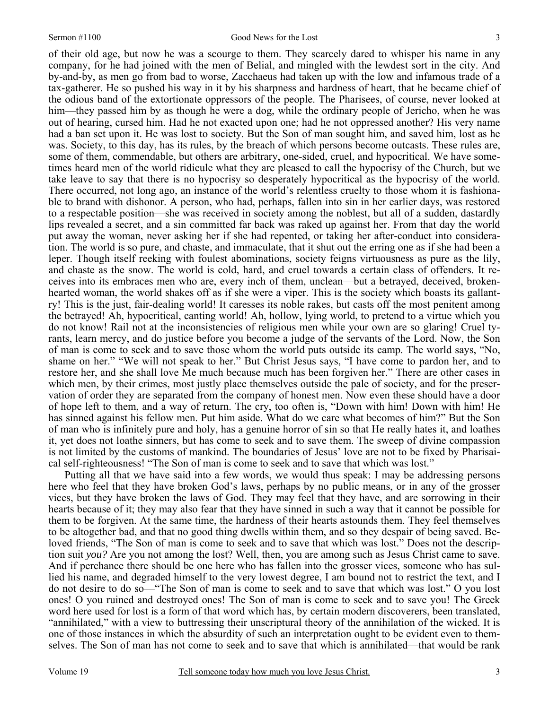of their old age, but now he was a scourge to them. They scarcely dared to whisper his name in any company, for he had joined with the men of Belial, and mingled with the lewdest sort in the city. And by-and-by, as men go from bad to worse, Zacchaeus had taken up with the low and infamous trade of a tax-gatherer. He so pushed his way in it by his sharpness and hardness of heart, that he became chief of the odious band of the extortionate oppressors of the people. The Pharisees, of course, never looked at him—they passed him by as though he were a dog, while the ordinary people of Jericho, when he was out of hearing, cursed him. Had he not exacted upon one; had he not oppressed another? His very name had a ban set upon it. He was lost to society. But the Son of man sought him, and saved him, lost as he was. Society, to this day, has its rules, by the breach of which persons become outcasts. These rules are, some of them, commendable, but others are arbitrary, one-sided, cruel, and hypocritical. We have sometimes heard men of the world ridicule what they are pleased to call the hypocrisy of the Church, but we take leave to say that there is no hypocrisy so desperately hypocritical as the hypocrisy of the world. There occurred, not long ago, an instance of the world's relentless cruelty to those whom it is fashionable to brand with dishonor. A person, who had, perhaps, fallen into sin in her earlier days, was restored to a respectable position—she was received in society among the noblest, but all of a sudden, dastardly lips revealed a secret, and a sin committed far back was raked up against her. From that day the world put away the woman, never asking her if she had repented, or taking her after-conduct into consideration. The world is so pure, and chaste, and immaculate, that it shut out the erring one as if she had been a leper. Though itself reeking with foulest abominations, society feigns virtuousness as pure as the lily, and chaste as the snow. The world is cold, hard, and cruel towards a certain class of offenders. It receives into its embraces men who are, every inch of them, unclean—but a betrayed, deceived, brokenhearted woman, the world shakes off as if she were a viper. This is the society which boasts its gallantry! This is the just, fair-dealing world! It caresses its noble rakes, but casts off the most penitent among the betrayed! Ah, hypocritical, canting world! Ah, hollow, lying world, to pretend to a virtue which you do not know! Rail not at the inconsistencies of religious men while your own are so glaring! Cruel tyrants, learn mercy, and do justice before you become a judge of the servants of the Lord. Now, the Son of man is come to seek and to save those whom the world puts outside its camp. The world says, "No, shame on her." "We will not speak to her." But Christ Jesus says, "I have come to pardon her, and to restore her, and she shall love Me much because much has been forgiven her." There are other cases in which men, by their crimes, most justly place themselves outside the pale of society, and for the preservation of order they are separated from the company of honest men. Now even these should have a door of hope left to them, and a way of return. The cry, too often is, "Down with him! Down with him! He has sinned against his fellow men. Put him aside. What do we care what becomes of him?" But the Son of man who is infinitely pure and holy, has a genuine horror of sin so that He really hates it, and loathes it, yet does not loathe sinners, but has come to seek and to save them. The sweep of divine compassion is not limited by the customs of mankind. The boundaries of Jesus' love are not to be fixed by Pharisaical self-righteousness! "The Son of man is come to seek and to save that which was lost."

Putting all that we have said into a few words, we would thus speak: I may be addressing persons here who feel that they have broken God's laws, perhaps by no public means, or in any of the grosser vices, but they have broken the laws of God. They may feel that they have, and are sorrowing in their hearts because of it; they may also fear that they have sinned in such a way that it cannot be possible for them to be forgiven. At the same time, the hardness of their hearts astounds them. They feel themselves to be altogether bad, and that no good thing dwells within them, and so they despair of being saved. Beloved friends, "The Son of man is come to seek and to save that which was lost." Does not the description suit *you?* Are you not among the lost? Well, then, you are among such as Jesus Christ came to save. And if perchance there should be one here who has fallen into the grosser vices, someone who has sullied his name, and degraded himself to the very lowest degree, I am bound not to restrict the text, and I do not desire to do so—"The Son of man is come to seek and to save that which was lost." O you lost ones! O you ruined and destroyed ones! The Son of man is come to seek and to save you! The Greek word here used for lost is a form of that word which has, by certain modern discoverers, been translated, "annihilated," with a view to buttressing their unscriptural theory of the annihilation of the wicked. It is one of those instances in which the absurdity of such an interpretation ought to be evident even to themselves. The Son of man has not come to seek and to save that which is annihilated—that would be rank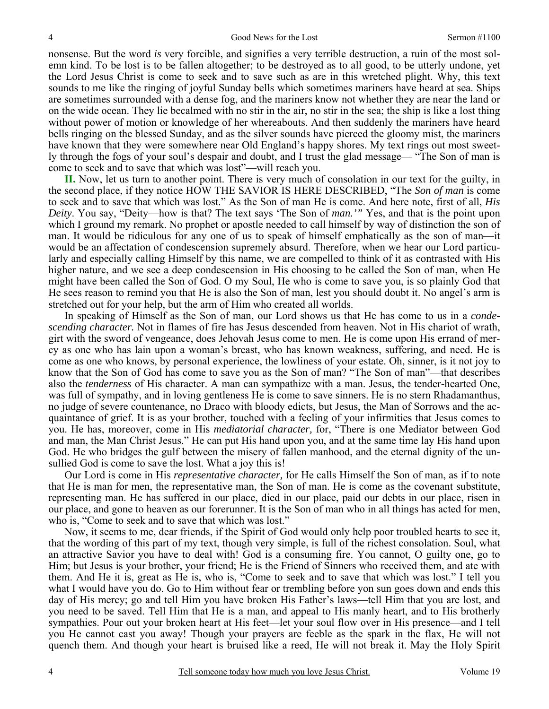nonsense. But the word *is* very forcible, and signifies a very terrible destruction, a ruin of the most solemn kind. To be lost is to be fallen altogether; to be destroyed as to all good, to be utterly undone, yet the Lord Jesus Christ is come to seek and to save such as are in this wretched plight. Why, this text sounds to me like the ringing of joyful Sunday bells which sometimes mariners have heard at sea. Ships are sometimes surrounded with a dense fog, and the mariners know not whether they are near the land or on the wide ocean. They lie becalmed with no stir in the air, no stir in the sea; the ship is like a lost thing without power of motion or knowledge of her whereabouts. And then suddenly the mariners have heard bells ringing on the blessed Sunday, and as the silver sounds have pierced the gloomy mist, the mariners have known that they were somewhere near Old England's happy shores. My text rings out most sweetly through the fogs of your soul's despair and doubt, and I trust the glad message— "The Son of man is come to seek and to save that which was lost"—will reach you.

**II.** Now, let us turn to another point. There is very much of consolation in our text for the guilty, in the second place, if they notice HOW THE SAVIOR IS HERE DESCRIBED, "The *Son of man* is come to seek and to save that which was lost." As the Son of man He is come. And here note, first of all, *His Deity*. You say, "Deity—how is that? The text says 'The Son of *man.'"* Yes, and that is the point upon which I ground my remark. No prophet or apostle needed to call himself by way of distinction the son of man. It would be ridiculous for any one of us to speak of himself emphatically as the son of man—it would be an affectation of condescension supremely absurd. Therefore, when we hear our Lord particularly and especially calling Himself by this name, we are compelled to think of it as contrasted with His higher nature, and we see a deep condescension in His choosing to be called the Son of man, when He might have been called the Son of God. O my Soul, He who is come to save you, is so plainly God that He sees reason to remind you that He is also the Son of man, lest you should doubt it. No angel's arm is stretched out for your help, but the arm of Him who created all worlds.

In speaking of Himself as the Son of man, our Lord shows us that He has come to us in a *condescending character.* Not in flames of fire has Jesus descended from heaven. Not in His chariot of wrath, girt with the sword of vengeance, does Jehovah Jesus come to men. He is come upon His errand of mercy as one who has lain upon a woman's breast, who has known weakness, suffering, and need. He is come as one who knows, by personal experience, the lowliness of your estate. Oh, sinner, is it not joy to know that the Son of God has come to save you as the Son of man? "The Son of man"—that describes also the *tenderness* of His character. A man can sympathize with a man. Jesus, the tender-hearted One, was full of sympathy, and in loving gentleness He is come to save sinners. He is no stern Rhadamanthus, no judge of severe countenance, no Draco with bloody edicts, but Jesus, the Man of Sorrows and the acquaintance of grief. It is as your brother, touched with a feeling of your infirmities that Jesus comes to you. He has, moreover, come in His *mediatorial character,* for, "There is one Mediator between God and man, the Man Christ Jesus." He can put His hand upon you, and at the same time lay His hand upon God. He who bridges the gulf between the misery of fallen manhood, and the eternal dignity of the unsullied God is come to save the lost. What a joy this is!

Our Lord is come in His *representative character,* for He calls Himself the Son of man, as if to note that He is man for men, the representative man, the Son of man. He is come as the covenant substitute, representing man. He has suffered in our place, died in our place, paid our debts in our place, risen in our place, and gone to heaven as our forerunner. It is the Son of man who in all things has acted for men, who is, "Come to seek and to save that which was lost."

Now, it seems to me, dear friends, if the Spirit of God would only help poor troubled hearts to see it, that the wording of this part of my text, though very simple, is full of the richest consolation. Soul, what an attractive Savior you have to deal with! God is a consuming fire. You cannot, O guilty one, go to Him; but Jesus is your brother, your friend; He is the Friend of Sinners who received them, and ate with them. And He it is, great as He is, who is, "Come to seek and to save that which was lost." I tell you what I would have you do. Go to Him without fear or trembling before yon sun goes down and ends this day of His mercy; go and tell Him you have broken His Father's laws—tell Him that you are lost, and you need to be saved. Tell Him that He is a man, and appeal to His manly heart, and to His brotherly sympathies. Pour out your broken heart at His feet—let your soul flow over in His presence—and I tell you He cannot cast you away! Though your prayers are feeble as the spark in the flax, He will not quench them. And though your heart is bruised like a reed, He will not break it. May the Holy Spirit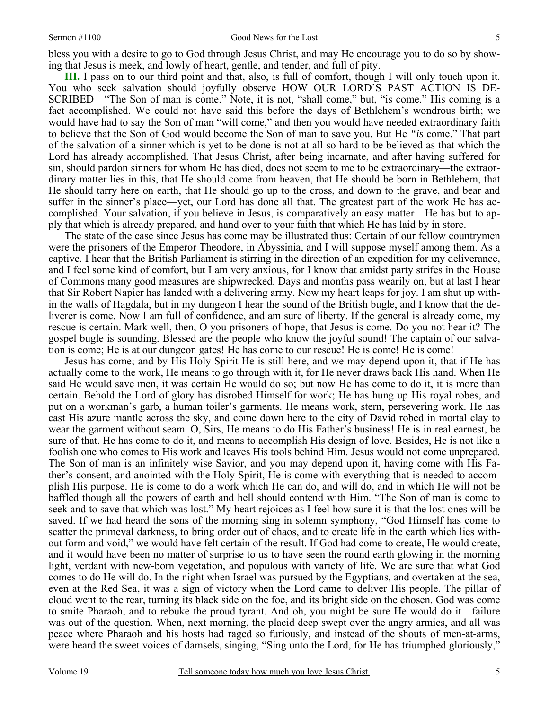#### Sermon #1100 Good News for the Lost

bless you with a desire to go to God through Jesus Christ, and may He encourage you to do so by showing that Jesus is meek, and lowly of heart, gentle, and tender, and full of pity.

**III.** I pass on to our third point and that, also, is full of comfort, though I will only touch upon it. You who seek salvation should joyfully observe HOW OUR LORD'S PAST ACTION IS DE-SCRIBED—"The Son of man is come." Note, it is not, "shall come," but, "is come." His coming is a fact accomplished. We could not have said this before the days of Bethlehem's wondrous birth; we would have had to say the Son of man "will come," and then you would have needed extraordinary faith to believe that the Son of God would become the Son of man to save you. But He *"is* come." That part of the salvation of a sinner which is yet to be done is not at all so hard to be believed as that which the Lord has already accomplished. That Jesus Christ, after being incarnate, and after having suffered for sin, should pardon sinners for whom He has died, does not seem to me to be extraordinary—the extraordinary matter lies in this, that He should come from heaven, that He should be born in Bethlehem, that He should tarry here on earth, that He should go up to the cross, and down to the grave, and bear and suffer in the sinner's place—yet, our Lord has done all that. The greatest part of the work He has accomplished. Your salvation, if you believe in Jesus, is comparatively an easy matter—He has but to apply that which is already prepared, and hand over to your faith that which He has laid by in store.

The state of the case since Jesus has come may be illustrated thus: Certain of our fellow countrymen were the prisoners of the Emperor Theodore, in Abyssinia, and I will suppose myself among them. As a captive. I hear that the British Parliament is stirring in the direction of an expedition for my deliverance, and I feel some kind of comfort, but I am very anxious, for I know that amidst party strifes in the House of Commons many good measures are shipwrecked. Days and months pass wearily on, but at last I hear that Sir Robert Napier has landed with a delivering army. Now my heart leaps for joy. I am shut up within the walls of Hagdala, but in my dungeon I hear the sound of the British bugle, and I know that the deliverer is come. Now I am full of confidence, and am sure of liberty. If the general is already come, my rescue is certain. Mark well, then, O you prisoners of hope, that Jesus is come. Do you not hear it? The gospel bugle is sounding. Blessed are the people who know the joyful sound! The captain of our salvation is come; He is at our dungeon gates! He has come to our rescue! He is come! He is come!

Jesus has come; and by His Holy Spirit He is still here, and we may depend upon it, that if He has actually come to the work, He means to go through with it, for He never draws back His hand. When He said He would save men, it was certain He would do so; but now He has come to do it, it is more than certain. Behold the Lord of glory has disrobed Himself for work; He has hung up His royal robes, and put on a workman's garb, a human toiler's garments. He means work, stern, persevering work. He has cast His azure mantle across the sky, and come down here to the city of David robed in mortal clay to wear the garment without seam. O, Sirs, He means to do His Father's business! He is in real earnest, be sure of that. He has come to do it, and means to accomplish His design of love. Besides, He is not like a foolish one who comes to His work and leaves His tools behind Him. Jesus would not come unprepared. The Son of man is an infinitely wise Savior, and you may depend upon it, having come with His Father's consent, and anointed with the Holy Spirit, He is come with everything that is needed to accomplish His purpose. He is come to do a work which He can do, and will do, and in which He will not be baffled though all the powers of earth and hell should contend with Him. "The Son of man is come to seek and to save that which was lost." My heart rejoices as I feel how sure it is that the lost ones will be saved. If we had heard the sons of the morning sing in solemn symphony, "God Himself has come to scatter the primeval darkness, to bring order out of chaos, and to create life in the earth which lies without form and void," we would have felt certain of the result. If God had come to create, He would create, and it would have been no matter of surprise to us to have seen the round earth glowing in the morning light, verdant with new-born vegetation, and populous with variety of life. We are sure that what God comes to do He will do. In the night when Israel was pursued by the Egyptians, and overtaken at the sea, even at the Red Sea, it was a sign of victory when the Lord came to deliver His people. The pillar of cloud went to the rear, turning its black side on the foe, and its bright side on the chosen. God was come to smite Pharaoh, and to rebuke the proud tyrant. And oh, you might be sure He would do it—failure was out of the question. When, next morning, the placid deep swept over the angry armies, and all was peace where Pharaoh and his hosts had raged so furiously, and instead of the shouts of men-at-arms, were heard the sweet voices of damsels, singing, "Sing unto the Lord, for He has triumphed gloriously,"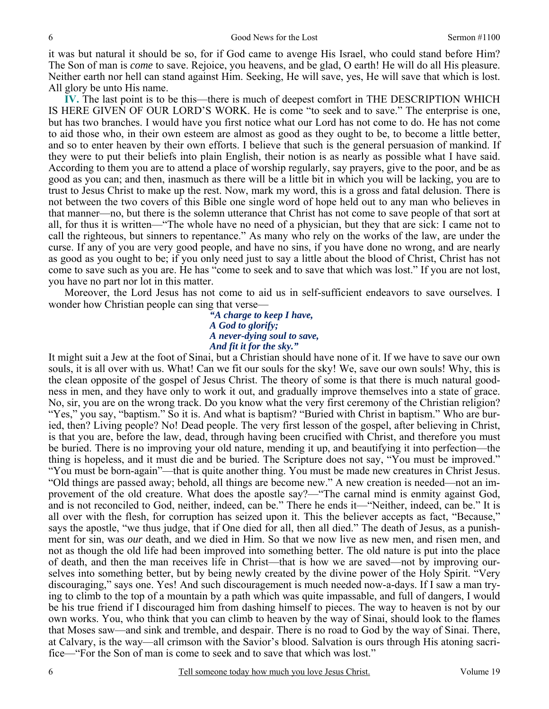it was but natural it should be so, for if God came to avenge His Israel, who could stand before Him? The Son of man is *come* to save. Rejoice, you heavens, and be glad, O earth! He will do all His pleasure. Neither earth nor hell can stand against Him. Seeking, He will save, yes, He will save that which is lost. All glory be unto His name.

**IV.** The last point is to be this—there is much of deepest comfort in THE DESCRIPTION WHICH IS HERE GIVEN OF OUR LORD'S WORK. He is come "to seek and to save." The enterprise is one, but has two branches. I would have you first notice what our Lord has not come to do. He has not come to aid those who, in their own esteem are almost as good as they ought to be, to become a little better, and so to enter heaven by their own efforts. I believe that such is the general persuasion of mankind. If they were to put their beliefs into plain English, their notion is as nearly as possible what I have said. According to them you are to attend a place of worship regularly, say prayers, give to the poor, and be as good as you can; and then, inasmuch as there will be a little bit in which you will be lacking, you are to trust to Jesus Christ to make up the rest. Now, mark my word, this is a gross and fatal delusion. There is not between the two covers of this Bible one single word of hope held out to any man who believes in that manner—no, but there is the solemn utterance that Christ has not come to save people of that sort at all, for thus it is written—"The whole have no need of a physician, but they that are sick: I came not to call the righteous, but sinners to repentance." As many who rely on the works of the law, are under the curse. If any of you are very good people, and have no sins, if you have done no wrong, and are nearly as good as you ought to be; if you only need just to say a little about the blood of Christ, Christ has not come to save such as you are. He has "come to seek and to save that which was lost." If you are not lost, you have no part nor lot in this matter.

Moreover, the Lord Jesus has not come to aid us in self-sufficient endeavors to save ourselves. I wonder how Christian people can sing that verse—

*"A charge to keep I have, A God to glorify; A never-dying soul to save, And fit it for the sky."* 

It might suit a Jew at the foot of Sinai, but a Christian should have none of it. If we have to save our own souls, it is all over with us. What! Can we fit our souls for the sky! We, save our own souls! Why, this is the clean opposite of the gospel of Jesus Christ. The theory of some is that there is much natural goodness in men, and they have only to work it out, and gradually improve themselves into a state of grace. No, sir, you are on the wrong track. Do you know what the very first ceremony of the Christian religion? "Yes," you say, "baptism." So it is. And what is baptism? "Buried with Christ in baptism." Who are buried, then? Living people? No! Dead people. The very first lesson of the gospel, after believing in Christ, is that you are, before the law, dead, through having been crucified with Christ, and therefore you must be buried. There is no improving your old nature, mending it up, and beautifying it into perfection—the thing is hopeless, and it must die and be buried. The Scripture does not say, "You must be improved." "You must be born-again"—that is quite another thing. You must be made new creatures in Christ Jesus. "Old things are passed away; behold, all things are become new." A new creation is needed—not an improvement of the old creature. What does the apostle say?—"The carnal mind is enmity against God, and is not reconciled to God, neither, indeed, can be." There he ends it—"Neither, indeed, can be." It is all over with the flesh, for corruption has seized upon it. This the believer accepts as fact, "Because," says the apostle, "we thus judge, that if One died for all, then all died." The death of Jesus, as a punishment for sin, was *our* death, and we died in Him. So that we now live as new men, and risen men, and not as though the old life had been improved into something better. The old nature is put into the place of death, and then the man receives life in Christ—that is how we are saved—not by improving ourselves into something better, but by being newly created by the divine power of the Holy Spirit. "Very discouraging," says one. Yes! And such discouragement is much needed now-a-days. If I saw a man trying to climb to the top of a mountain by a path which was quite impassable, and full of dangers, I would be his true friend if I discouraged him from dashing himself to pieces. The way to heaven is not by our own works. You, who think that you can climb to heaven by the way of Sinai, should look to the flames that Moses saw—and sink and tremble, and despair. There is no road to God by the way of Sinai. There, at Calvary, is the way—all crimson with the Savior's blood. Salvation is ours through His atoning sacrifice—"For the Son of man is come to seek and to save that which was lost."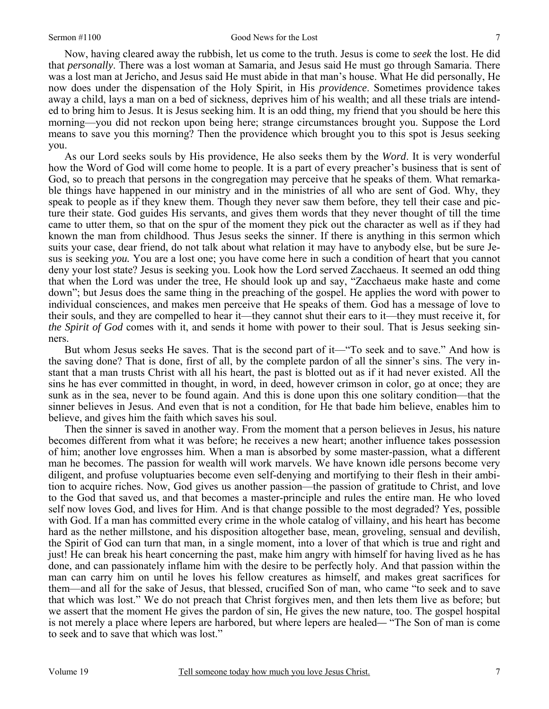Now, having cleared away the rubbish, let us come to the truth. Jesus is come to *seek* the lost. He did that *personally*. There was a lost woman at Samaria, and Jesus said He must go through Samaria. There was a lost man at Jericho, and Jesus said He must abide in that man's house. What He did personally, He now does under the dispensation of the Holy Spirit, in His *providence*. Sometimes providence takes away a child, lays a man on a bed of sickness, deprives him of his wealth; and all these trials are intended to bring him to Jesus. It is Jesus seeking him. It is an odd thing, my friend that you should be here this morning—you did not reckon upon being here; strange circumstances brought you. Suppose the Lord means to save you this morning? Then the providence which brought you to this spot is Jesus seeking you.

As our Lord seeks souls by His providence, He also seeks them by the *Word*. It is very wonderful how the Word of God will come home to people. It is a part of every preacher's business that is sent of God, so to preach that persons in the congregation may perceive that he speaks of them. What remarkable things have happened in our ministry and in the ministries of all who are sent of God. Why, they speak to people as if they knew them. Though they never saw them before, they tell their case and picture their state. God guides His servants, and gives them words that they never thought of till the time came to utter them, so that on the spur of the moment they pick out the character as well as if they had known the man from childhood. Thus Jesus seeks the sinner. If there is anything in this sermon which suits your case, dear friend, do not talk about what relation it may have to anybody else, but be sure Jesus is seeking *you.* You are a lost one; you have come here in such a condition of heart that you cannot deny your lost state? Jesus is seeking you. Look how the Lord served Zacchaeus. It seemed an odd thing that when the Lord was under the tree, He should look up and say, "Zacchaeus make haste and come down"; but Jesus does the same thing in the preaching of the gospel. He applies the word with power to individual consciences, and makes men perceive that He speaks of them. God has a message of love to their souls, and they are compelled to hear it—they cannot shut their ears to it—they must receive it, for *the Spirit of God* comes with it, and sends it home with power to their soul. That is Jesus seeking sinners.

But whom Jesus seeks He saves. That is the second part of it—"To seek and to save." And how is the saving done? That is done, first of all, by the complete pardon of all the sinner's sins. The very instant that a man trusts Christ with all his heart, the past is blotted out as if it had never existed. All the sins he has ever committed in thought, in word, in deed, however crimson in color, go at once; they are sunk as in the sea, never to be found again. And this is done upon this one solitary condition—that the sinner believes in Jesus. And even that is not a condition, for He that bade him believe, enables him to believe, and gives him the faith which saves his soul.

Then the sinner is saved in another way. From the moment that a person believes in Jesus, his nature becomes different from what it was before; he receives a new heart; another influence takes possession of him; another love engrosses him. When a man is absorbed by some master-passion, what a different man he becomes. The passion for wealth will work marvels. We have known idle persons become very diligent, and profuse voluptuaries become even self-denying and mortifying to their flesh in their ambition to acquire riches. Now, God gives us another passion—the passion of gratitude to Christ, and love to the God that saved us, and that becomes a master-principle and rules the entire man. He who loved self now loves God, and lives for Him. And is that change possible to the most degraded? Yes, possible with God. If a man has committed every crime in the whole catalog of villainy, and his heart has become hard as the nether millstone, and his disposition altogether base, mean, groveling, sensual and devilish, the Spirit of God can turn that man, in a single moment, into a lover of that which is true and right and just! He can break his heart concerning the past, make him angry with himself for having lived as he has done, and can passionately inflame him with the desire to be perfectly holy. And that passion within the man can carry him on until he loves his fellow creatures as himself, and makes great sacrifices for them—and all for the sake of Jesus, that blessed, crucified Son of man, who came "to seek and to save that which was lost." We do not preach that Christ forgives men, and then lets them live as before; but we assert that the moment He gives the pardon of sin, He gives the new nature, too. The gospel hospital is not merely a place where lepers are harbored, but where lepers are healed*—* "The Son of man is come to seek and to save that which was lost."